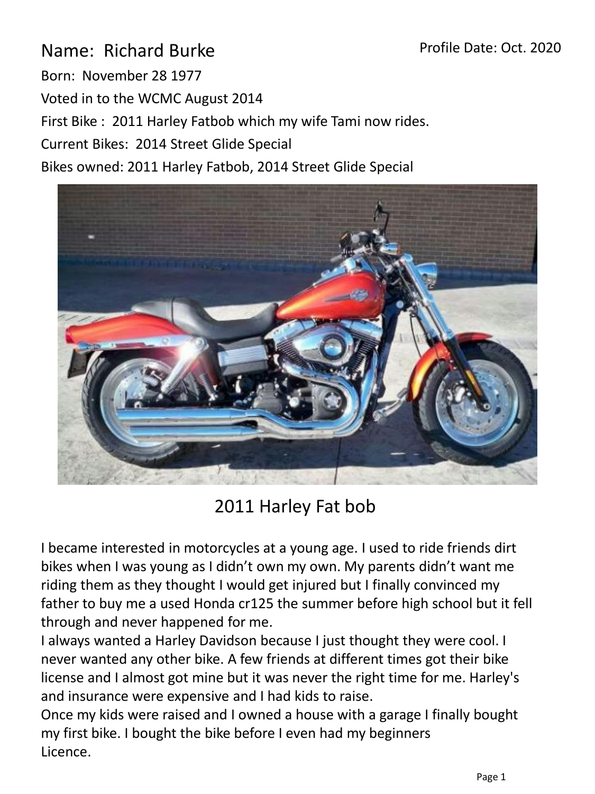## Profile Date: Oct. 2020

Name: Richard Burke Born: November 28 1977 Voted in to the WCMC August 2014 First Bike : 2011 Harley Fatbob which my wife Tami now rides. Current Bikes: 2014 Street Glide Special

Bikes owned: 2011 Harley Fatbob, 2014 Street Glide Special



2011 Harley Fat bob

I became interested in motorcycles at a young age. I used to ride friends dirt bikes when I was young as I didn't own my own. My parents didn't want me riding them as they thought I would get injured but I finally convinced my father to buy me a used Honda cr125 the summer before high school but it fell through and never happened for me.

I always wanted a Harley Davidson because I just thought they were cool. I never wanted any other bike. A few friends at different times got their bike license and I almost got mine but it was never the right time for me. Harley's and insurance were expensive and I had kids to raise.

Once my kids were raised and I owned a house with a garage I finally bought my first bike. I bought the bike before I even had my beginners Licence.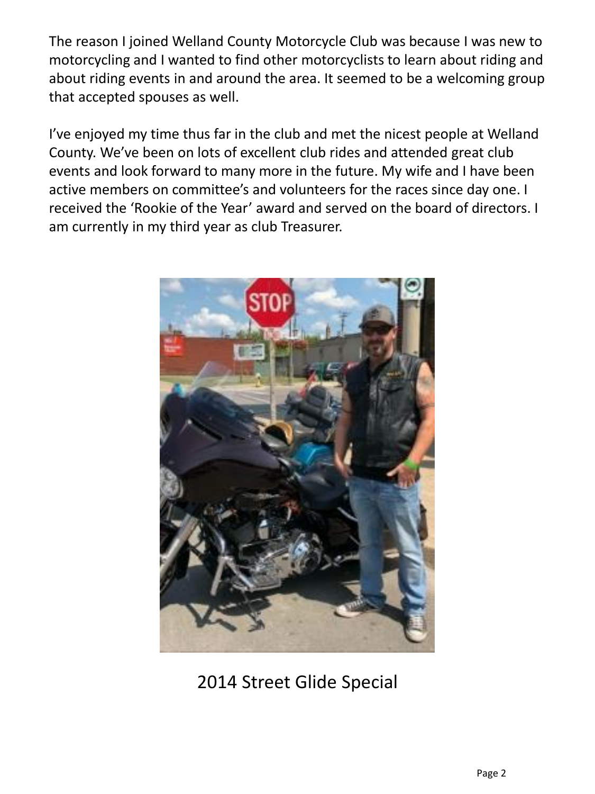The reason I joined Welland County Motorcycle Club was because I was new to motorcycling and I wanted to find other motorcyclists to learn about riding and about riding events in and around the area. It seemed to be a welcoming group that accepted spouses as well.

I've enjoyed my time thus far in the club and met the nicest people at Welland County. We've been on lots of excellent club rides and attended great club events and look forward to many more in the future. My wife and I have been active members on committee's and volunteers for the races since day one. I received the 'Rookie of the Year' award and served on the board of directors. I am currently in my third year as club Treasurer.



2014 Street Glide Special